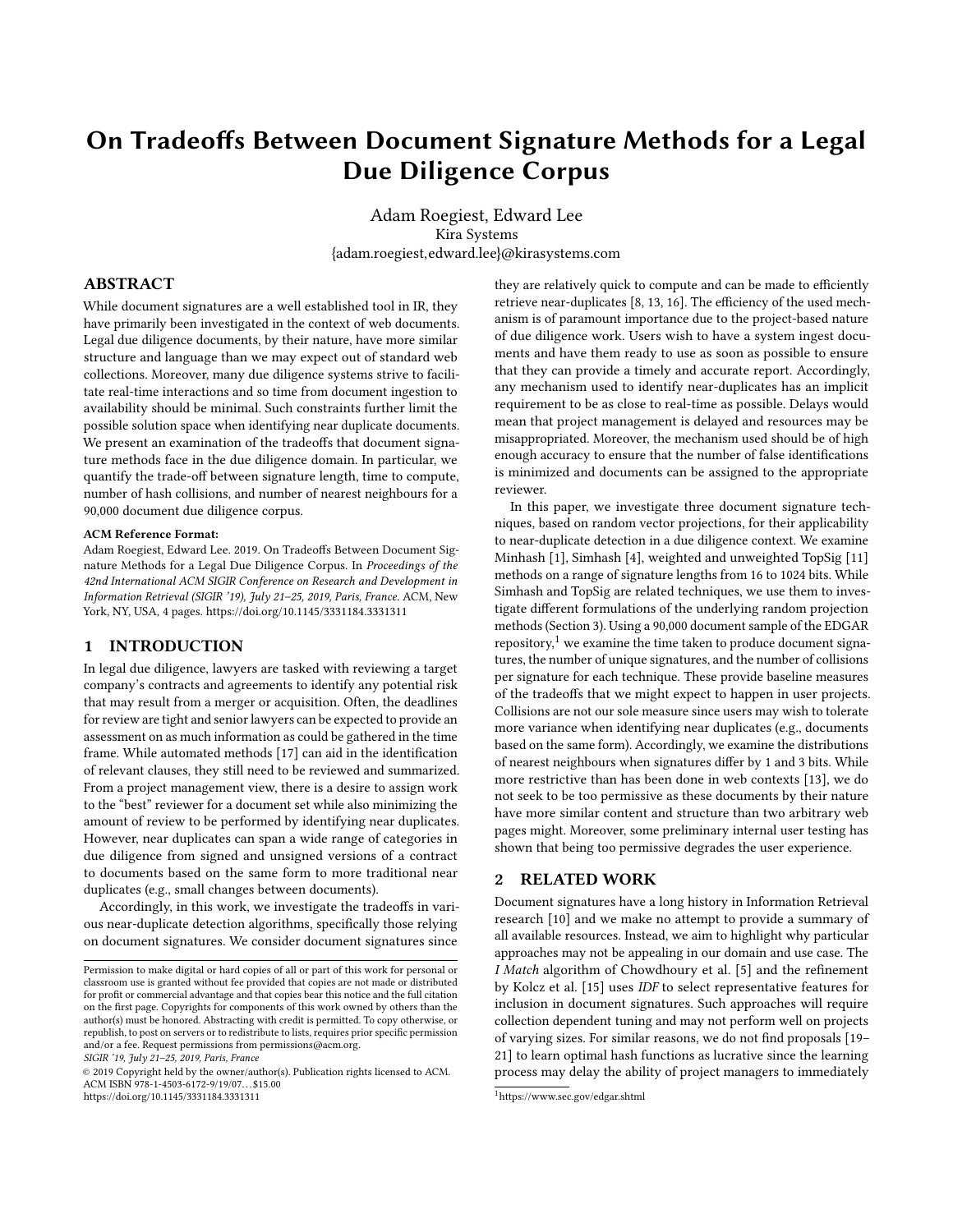# On Tradeoffs Between Document Signature Methods for a Legal Due Diligence Corpus

Adam Roegiest, Edward Lee Kira Systems {adam.roegiest,edward.lee}@kirasystems.com

# ABSTRACT

While document signatures are a well established tool in IR, they have primarily been investigated in the context of web documents. Legal due diligence documents, by their nature, have more similar structure and language than we may expect out of standard web collections. Moreover, many due diligence systems strive to facilitate real-time interactions and so time from document ingestion to availability should be minimal. Such constraints further limit the possible solution space when identifying near duplicate documents. We present an examination of the tradeoffs that document signature methods face in the due diligence domain. In particular, we quantify the trade-off between signature length, time to compute, number of hash collisions, and number of nearest neighbours for a 90,000 document due diligence corpus.

#### ACM Reference Format:

Adam Roegiest, Edward Lee. 2019. On Tradeoffs Between Document Signature Methods for a Legal Due Diligence Corpus. In Proceedings of the 42nd International ACM SIGIR Conference on Research and Development in Information Retrieval (SIGIR '19), July 21–25, 2019, Paris, France. ACM, New York, NY, USA, [4](#page-3-0) pages.<https://doi.org/10.1145/3331184.3331311>

# 1 INTRODUCTION

In legal due diligence, lawyers are tasked with reviewing a target company's contracts and agreements to identify any potential risk that may result from a merger or acquisition. Often, the deadlines for review are tight and senior lawyers can be expected to provide an assessment on as much information as could be gathered in the time frame. While automated methods [\[17\]](#page-3-1) can aid in the identification of relevant clauses, they still need to be reviewed and summarized. From a project management view, there is a desire to assign work to the "best" reviewer for a document set while also minimizing the amount of review to be performed by identifying near duplicates. However, near duplicates can span a wide range of categories in due diligence from signed and unsigned versions of a contract to documents based on the same form to more traditional near duplicates (e.g., small changes between documents).

Accordingly, in this work, we investigate the tradeoffs in various near-duplicate detection algorithms, specifically those relying on document signatures. We consider document signatures since

SIGIR '19, July 21–25, 2019, Paris, France

© 2019 Copyright held by the owner/author(s). Publication rights licensed to ACM. ACM ISBN 978-1-4503-6172-9/19/07. . . \$15.00 <https://doi.org/10.1145/3331184.3331311>

they are relatively quick to compute and can be made to efficiently retrieve near-duplicates [\[8,](#page-3-2) [13,](#page-3-3) [16\]](#page-3-4). The efficiency of the used mechanism is of paramount importance due to the project-based nature of due diligence work. Users wish to have a system ingest documents and have them ready to use as soon as possible to ensure that they can provide a timely and accurate report. Accordingly, any mechanism used to identify near-duplicates has an implicit requirement to be as close to real-time as possible. Delays would mean that project management is delayed and resources may be misappropriated. Moreover, the mechanism used should be of high enough accuracy to ensure that the number of false identifications is minimized and documents can be assigned to the appropriate reviewer.

In this paper, we investigate three document signature techniques, based on random vector projections, for their applicability to near-duplicate detection in a due diligence context. We examine Minhash [\[1\]](#page-3-5), Simhash [\[4\]](#page-3-6), weighted and unweighted TopSig [\[11\]](#page-3-7) methods on a range of signature lengths from 16 to 1024 bits. While Simhash and TopSig are related techniques, we use them to investigate different formulations of the underlying random projection methods (Section [3\)](#page-1-0). Using a 90,000 document sample of the EDGAR repository, $1$  we examine the time taken to produce document signatures, the number of unique signatures, and the number of collisions per signature for each technique. These provide baseline measures of the tradeoffs that we might expect to happen in user projects. Collisions are not our sole measure since users may wish to tolerate more variance when identifying near duplicates (e.g., documents based on the same form). Accordingly, we examine the distributions of nearest neighbours when signatures differ by 1 and 3 bits. While more restrictive than has been done in web contexts [\[13\]](#page-3-3), we do not seek to be too permissive as these documents by their nature have more similar content and structure than two arbitrary web pages might. Moreover, some preliminary internal user testing has shown that being too permissive degrades the user experience.

#### 2 RELATED WORK

Document signatures have a long history in Information Retrieval research [\[10\]](#page-3-8) and we make no attempt to provide a summary of all available resources. Instead, we aim to highlight why particular approaches may not be appealing in our domain and use case. The I Match algorithm of Chowdhoury et al. [\[5\]](#page-3-9) and the refinement by Kolcz et al. [\[15\]](#page-3-10) uses IDF to select representative features for inclusion in document signatures. Such approaches will require collection dependent tuning and may not perform well on projects of varying sizes. For similar reasons, we do not find proposals [\[19–](#page-3-11) [21\]](#page-3-12) to learn optimal hash functions as lucrative since the learning process may delay the ability of project managers to immediately

Permission to make digital or hard copies of all or part of this work for personal or classroom use is granted without fee provided that copies are not made or distributed for profit or commercial advantage and that copies bear this notice and the full citation on the first page. Copyrights for components of this work owned by others than the author(s) must be honored. Abstracting with credit is permitted. To copy otherwise, or republish, to post on servers or to redistribute to lists, requires prior specific permission and/or a fee. Request permissions from permissions@acm.org.

<span id="page-0-0"></span><sup>1</sup><https://www.sec.gov/edgar.shtml>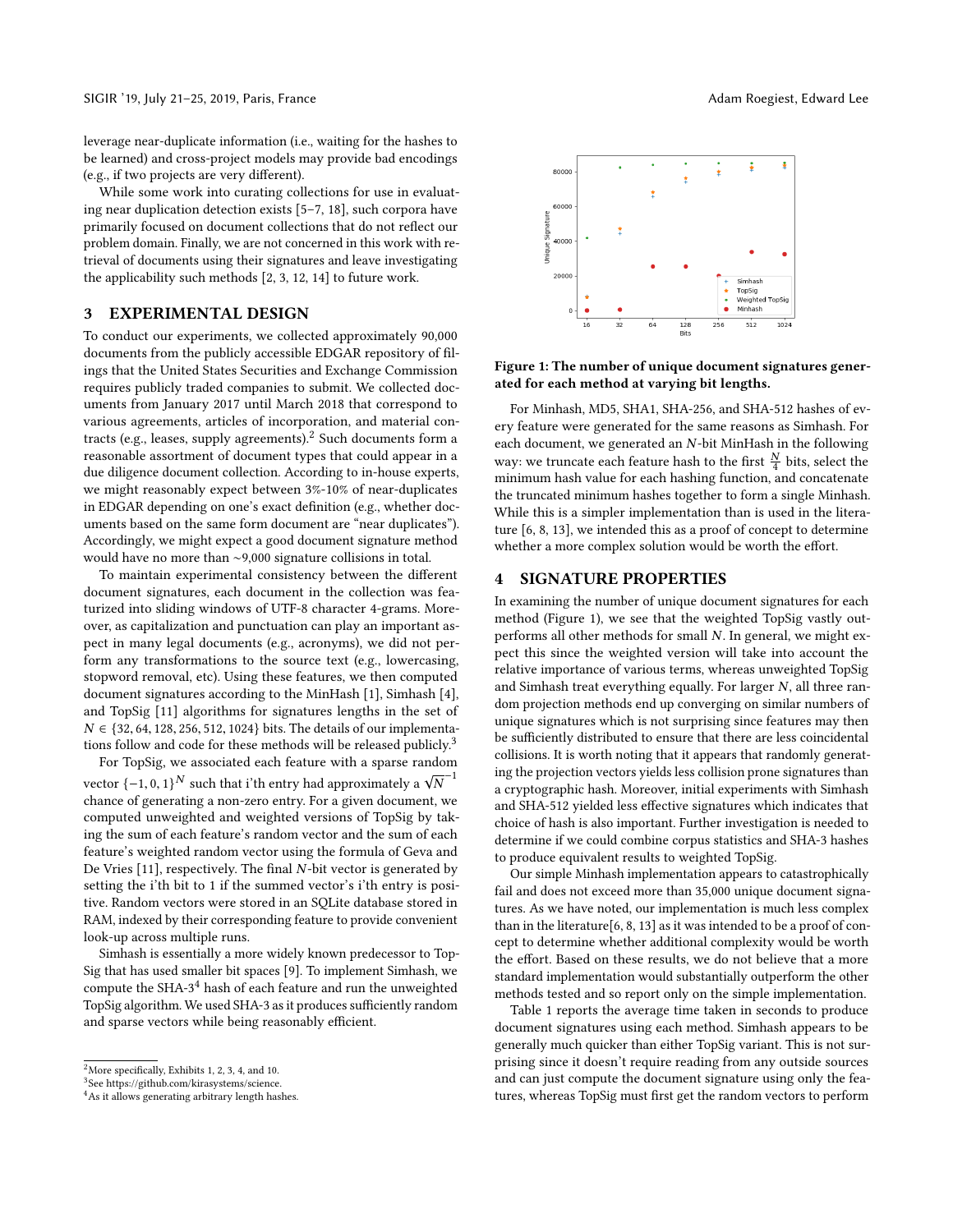leverage near-duplicate information (i.e., waiting for the hashes to be learned) and cross-project models may provide bad encodings (e.g., if two projects are very different).

While some work into curating collections for use in evaluating near duplication detection exists [\[5](#page-3-9)[–7,](#page-3-13) [18\]](#page-3-14), such corpora have primarily focused on document collections that do not reflect our problem domain. Finally, we are not concerned in this work with retrieval of documents using their signatures and leave investigating the applicability such methods [\[2,](#page-3-15) [3,](#page-3-16) [12,](#page-3-17) [14\]](#page-3-18) to future work.

# <span id="page-1-0"></span>3 EXPERIMENTAL DESIGN

To conduct our experiments, we collected approximately 90,000 documents from the publicly accessible EDGAR repository of filings that the United States Securities and Exchange Commission requires publicly traded companies to submit. We collected documents from January 2017 until March 2018 that correspond to various agreements, articles of incorporation, and material contracts (e.g., leases, supply agreements).[2](#page-1-1) Such documents form a reasonable assortment of document types that could appear in a due diligence document collection. According to in-house experts, we might reasonably expect between 3%-10% of near-duplicates in EDGAR depending on one's exact definition (e.g., whether documents based on the same form document are "near duplicates"). Accordingly, we might expect a good document signature method would have no more than ∼9,000 signature collisions in total.

To maintain experimental consistency between the different document signatures, each document in the collection was featurized into sliding windows of UTF-8 character 4-grams. Moreover, as capitalization and punctuation can play an important aspect in many legal documents (e.g., acronyms), we did not perform any transformations to the source text (e.g., lowercasing, stopword removal, etc). Using these features, we then computed document signatures according to the MinHash [\[1\]](#page-3-5), Simhash [\[4\]](#page-3-6), and TopSig [\[11\]](#page-3-7) algorithms for signatures lengths in the set of  $N ∈ {32, 64, 128, 256, 512, 1024} bits. The details of our implementa-$ tions follow and code for these methods will be released publicly.<sup>[3](#page-1-2)</sup>

For TopSig, we associated each feature with a sparse random vector  ${-1, 0, 1}^N$  such that i'th entry had approximately a  $\sqrt{N}^{-1}$ <br>change of generating a non-zero entry. For a given document we chance of generating a non-zero entry. For a given document, we computed unweighted and weighted versions of TopSig by taking the sum of each feature's random vector and the sum of each feature's weighted random vector using the formula of Geva and De Vries [\[11\]](#page-3-7), respectively. The final N-bit vector is generated by setting the i'th bit to 1 if the summed vector's i'th entry is positive. Random vectors were stored in an SQLite database stored in RAM, indexed by their corresponding feature to provide convenient look-up across multiple runs.

Simhash is essentially a more widely known predecessor to Top-Sig that has used smaller bit spaces [\[9\]](#page-3-19). To implement Simhash, we compute the SHA-3[4](#page-1-3) hash of each feature and run the unweighted TopSig algorithm. We used SHA-3 as it produces sufficiently random and sparse vectors while being reasonably efficient.

<span id="page-1-4"></span>ł į 80000 6000 Signat 40000 2000 Simhash Jimaan<br>TopSig<br>Weighted<br>Minhash  $256$  $512$  $1024$ 

## Figure 1: The number of unique document signatures generated for each method at varying bit lengths.

For Minhash, MD5, SHA1, SHA-256, and SHA-512 hashes of every feature were generated for the same reasons as Simhash. For each document, we generated an N-bit MinHash in the following way: we truncate each feature hash to the first  $\frac{N}{4}$  bits, select the minimum hash value for each hashing function, and concatenate the truncated minimum hashes together to form a single Minhash. While this is a simpler implementation than is used in the literature [\[6,](#page-3-20) [8,](#page-3-2) [13\]](#page-3-3), we intended this as a proof of concept to determine whether a more complex solution would be worth the effort.

#### **SIGNATURE PROPERTIES**

In examining the number of unique document signatures for each method (Figure [1\)](#page-1-4), we see that the weighted TopSig vastly outperforms all other methods for small N. In general, we might expect this since the weighted version will take into account the relative importance of various terms, whereas unweighted TopSig and Simhash treat everything equally. For larger N, all three random projection methods end up converging on similar numbers of unique signatures which is not surprising since features may then be sufficiently distributed to ensure that there are less coincidental collisions. It is worth noting that it appears that randomly generating the projection vectors yields less collision prone signatures than a cryptographic hash. Moreover, initial experiments with Simhash and SHA-512 yielded less effective signatures which indicates that choice of hash is also important. Further investigation is needed to determine if we could combine corpus statistics and SHA-3 hashes to produce equivalent results to weighted TopSig.

Our simple Minhash implementation appears to catastrophically fail and does not exceed more than 35,000 unique document signatures. As we have noted, our implementation is much less complex than in the literature[\[6,](#page-3-20) [8,](#page-3-2) [13\]](#page-3-3) as it was intended to be a proof of concept to determine whether additional complexity would be worth the effort. Based on these results, we do not believe that a more standard implementation would substantially outperform the other methods tested and so report only on the simple implementation.

Table [1](#page-2-0) reports the average time taken in seconds to produce document signatures using each method. Simhash appears to be generally much quicker than either TopSig variant. This is not surprising since it doesn't require reading from any outside sources and can just compute the document signature using only the features, whereas TopSig must first get the random vectors to perform

<span id="page-1-1"></span> $^2$  More specifically, Exhibits 1, 2, 3, 4, and 10.

<span id="page-1-2"></span><sup>3</sup> See [https://github.com/kirasystems/science.](https://github.com/kirasystems/science)

<span id="page-1-3"></span><sup>&</sup>lt;sup>4</sup>As it allows generating arbitrary length hashes.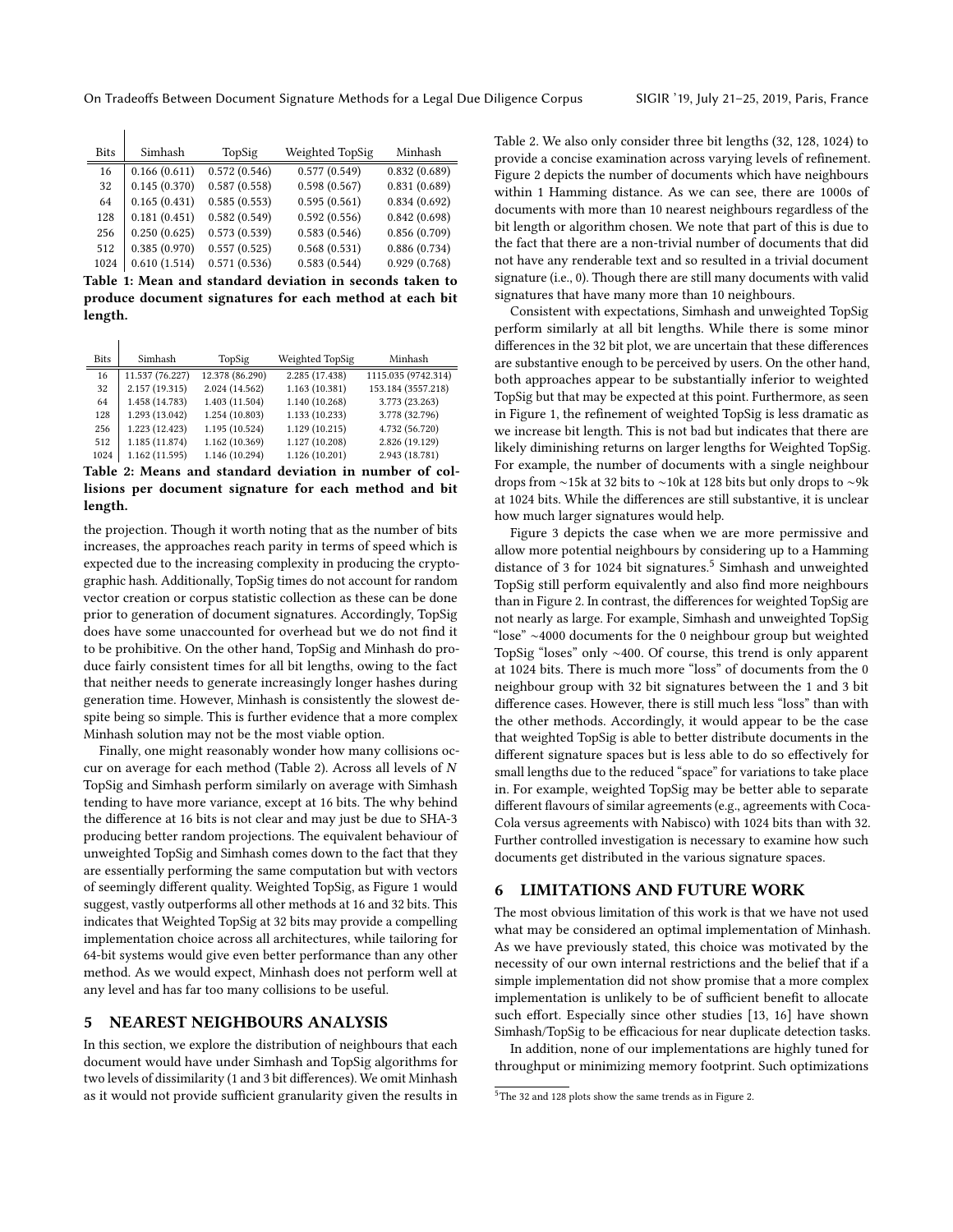On Tradeoffs Between Document Signature Methods for a Legal Due Diligence Corpus SIGIR '19, July 21-25, 2019, Paris, France

<span id="page-2-0"></span>

| <b>Bits</b> | Simhash      | TopSig       | Weighted TopSig | Minhash      |
|-------------|--------------|--------------|-----------------|--------------|
| 16          | 0.166(0.611) | 0.572(0.546) | 0.577(0.549)    | 0.832(0.689) |
| 32          | 0.145(0.370) | 0.587(0.558) | 0.598(0.567)    | 0.831(0.689) |
| 64          | 0.165(0.431) | 0.585(0.553) | 0.595(0.561)    | 0.834(0.692) |
| 128         | 0.181(0.451) | 0.582(0.549) | 0.592(0.556)    | 0.842(0.698) |
| 256         | 0.250(0.625) | 0.573(0.539) | 0.583(0.546)    | 0.856(0.709) |
| 512         | 0.385(0.970) | 0.557(0.525) | 0.568(0.531)    | 0.886(0.734) |
| 1024        | 0.610(1.514) | 0.571(0.536) | 0.583(0.544)    | 0.929(0.768) |

 $\overline{\phantom{a}}$ 

Table 1: Mean and standard deviation in seconds taken to produce document signatures for each method at each bit length.

<span id="page-2-1"></span>

| <b>Bits</b> | Simhash         | TopSig          | Weighted TopSig | Minhash             |
|-------------|-----------------|-----------------|-----------------|---------------------|
| 16          | 11.537 (76.227) | 12.378 (86.290) | 2.285 (17.438)  | 1115.035 (9742.314) |
| 32          | 2.157 (19.315)  | 2.024 (14.562)  | 1.163 (10.381)  | 153.184 (3557.218)  |
| 64          | 1.458 (14.783)  | 1.403 (11.504)  | 1.140 (10.268)  | 3.773 (23.263)      |
| 128         | 1.293 (13.042)  | 1.254 (10.803)  | 1.133 (10.233)  | 3.778 (32.796)      |
| 256         | 1.223 (12.423)  | 1.195 (10.524)  | 1.129(10.215)   | 4.732 (56.720)      |
| 512         | 1.185 (11.874)  | 1.162 (10.369)  | 1.127 (10.208)  | 2.826 (19.129)      |
| 1024        | 1.162 (11.595)  | 1.146 (10.294)  | 1.126 (10.201)  | 2.943 (18.781)      |

Table 2: Means and standard deviation in number of collisions per document signature for each method and bit length.

the projection. Though it worth noting that as the number of bits increases, the approaches reach parity in terms of speed which is expected due to the increasing complexity in producing the cryptographic hash. Additionally, TopSig times do not account for random vector creation or corpus statistic collection as these can be done prior to generation of document signatures. Accordingly, TopSig does have some unaccounted for overhead but we do not find it to be prohibitive. On the other hand, TopSig and Minhash do produce fairly consistent times for all bit lengths, owing to the fact that neither needs to generate increasingly longer hashes during generation time. However, Minhash is consistently the slowest despite being so simple. This is further evidence that a more complex Minhash solution may not be the most viable option.

Finally, one might reasonably wonder how many collisions occur on average for each method (Table [2\)](#page-2-1). Across all levels of N TopSig and Simhash perform similarly on average with Simhash tending to have more variance, except at 16 bits. The why behind the difference at 16 bits is not clear and may just be due to SHA-3 producing better random projections. The equivalent behaviour of unweighted TopSig and Simhash comes down to the fact that they are essentially performing the same computation but with vectors of seemingly different quality. Weighted TopSig, as Figure [1](#page-1-4) would suggest, vastly outperforms all other methods at 16 and 32 bits. This indicates that Weighted TopSig at 32 bits may provide a compelling implementation choice across all architectures, while tailoring for 64-bit systems would give even better performance than any other method. As we would expect, Minhash does not perform well at any level and has far too many collisions to be useful.

#### 5 NEAREST NEIGHBOURS ANALYSIS

In this section, we explore the distribution of neighbours that each document would have under Simhash and TopSig algorithms for two levels of dissimilarity (1 and 3 bit differences). We omit Minhash as it would not provide sufficient granularity given the results in Table [2.](#page-2-1) We also only consider three bit lengths (32, 128, 1024) to provide a concise examination across varying levels of refinement. Figure [2](#page-3-21) depicts the number of documents which have neighbours within 1 Hamming distance. As we can see, there are 1000s of documents with more than 10 nearest neighbours regardless of the bit length or algorithm chosen. We note that part of this is due to the fact that there are a non-trivial number of documents that did not have any renderable text and so resulted in a trivial document signature (i.e., 0). Though there are still many documents with valid signatures that have many more than 10 neighbours.

Consistent with expectations, Simhash and unweighted TopSig perform similarly at all bit lengths. While there is some minor differences in the 32 bit plot, we are uncertain that these differences are substantive enough to be perceived by users. On the other hand, both approaches appear to be substantially inferior to weighted TopSig but that may be expected at this point. Furthermore, as seen in Figure [1,](#page-1-4) the refinement of weighted TopSig is less dramatic as we increase bit length. This is not bad but indicates that there are likely diminishing returns on larger lengths for Weighted TopSig. For example, the number of documents with a single neighbour drops from ∼15k at 32 bits to ∼10k at 128 bits but only drops to ∼9k at 1024 bits. While the differences are still substantive, it is unclear how much larger signatures would help.

Figure [3](#page-3-22) depicts the case when we are more permissive and allow more potential neighbours by considering up to a Hamming distance of 3 for 1024 bit signatures.<sup>[5](#page-2-2)</sup> Simhash and unweighted TopSig still perform equivalently and also find more neighbours than in Figure [2.](#page-3-21) In contrast, the differences for weighted TopSig are not nearly as large. For example, Simhash and unweighted TopSig "lose" ∼4000 documents for the 0 neighbour group but weighted TopSig "loses" only ∼400. Of course, this trend is only apparent at 1024 bits. There is much more "loss" of documents from the 0 neighbour group with 32 bit signatures between the 1 and 3 bit difference cases. However, there is still much less "loss" than with the other methods. Accordingly, it would appear to be the case that weighted TopSig is able to better distribute documents in the different signature spaces but is less able to do so effectively for small lengths due to the reduced "space" for variations to take place in. For example, weighted TopSig may be better able to separate different flavours of similar agreements (e.g., agreements with Coca-Cola versus agreements with Nabisco) with 1024 bits than with 32. Further controlled investigation is necessary to examine how such documents get distributed in the various signature spaces.

### 6 LIMITATIONS AND FUTURE WORK

The most obvious limitation of this work is that we have not used what may be considered an optimal implementation of Minhash. As we have previously stated, this choice was motivated by the necessity of our own internal restrictions and the belief that if a simple implementation did not show promise that a more complex implementation is unlikely to be of sufficient benefit to allocate such effort. Especially since other studies [\[13,](#page-3-3) [16\]](#page-3-4) have shown Simhash/TopSig to be efficacious for near duplicate detection tasks.

In addition, none of our implementations are highly tuned for throughput or minimizing memory footprint. Such optimizations

<span id="page-2-2"></span><sup>5</sup>The 32 and 128 plots show the same trends as in Figure [2.](#page-3-21)